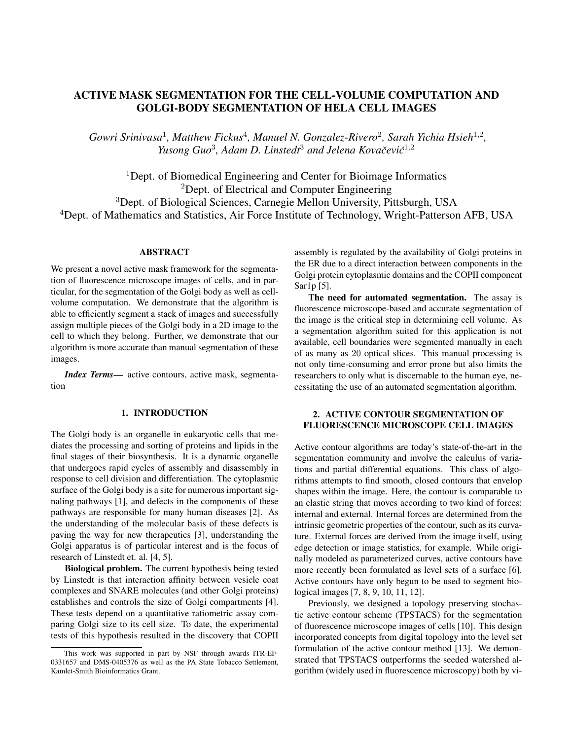# ACTIVE MASK SEGMENTATION FOR THE CELL-VOLUME COMPUTATION AND GOLGI-BODY SEGMENTATION OF HELA CELL IMAGES

Gowri Srinivasa<sup>1</sup>, Matthew Fickus<sup>4</sup>, Manuel N. Gonzalez-Rivero<sup>2</sup>, Sarah Yichia Hsieh<sup>1,2</sup>, *Yusong Guo<sup>3</sup>, Adam D. Linstedt<sup>3</sup> and Jelena Kovačević<sup>1,2</sup>* 

<sup>1</sup>Dept. of Biomedical Engineering and Center for Bioimage Informatics <sup>2</sup>Dept. of Electrical and Computer Engineering <sup>3</sup>Dept. of Biological Sciences, Carnegie Mellon University, Pittsburgh, USA <sup>4</sup>Dept. of Mathematics and Statistics, Air Force Institute of Technology, Wright-Patterson AFB, USA

#### ABSTRACT

We present a novel active mask framework for the segmentation of fluorescence microscope images of cells, and in particular, for the segmentation of the Golgi body as well as cellvolume computation. We demonstrate that the algorithm is able to efficiently segment a stack of images and successfully assign multiple pieces of the Golgi body in a 2D image to the cell to which they belong. Further, we demonstrate that our algorithm is more accurate than manual segmentation of these images.

*Index Terms*— active contours, active mask, segmentation

#### 1. INTRODUCTION

The Golgi body is an organelle in eukaryotic cells that mediates the processing and sorting of proteins and lipids in the final stages of their biosynthesis. It is a dynamic organelle that undergoes rapid cycles of assembly and disassembly in response to cell division and differentiation. The cytoplasmic surface of the Golgi body is a site for numerous important signaling pathways [1], and defects in the components of these pathways are responsible for many human diseases [2]. As the understanding of the molecular basis of these defects is paving the way for new therapeutics [3], understanding the Golgi apparatus is of particular interest and is the focus of research of Linstedt et. al. [4, 5].

Biological problem. The current hypothesis being tested by Linstedt is that interaction affinity between vesicle coat complexes and SNARE molecules (and other Golgi proteins) establishes and controls the size of Golgi compartments [4]. These tests depend on a quantitative ratiometric assay comparing Golgi size to its cell size. To date, the experimental tests of this hypothesis resulted in the discovery that COPII assembly is regulated by the availability of Golgi proteins in the ER due to a direct interaction between components in the Golgi protein cytoplasmic domains and the COPII component Sar1p [5].

The need for automated segmentation. The assay is fluorescence microscope-based and accurate segmentation of the image is the critical step in determining cell volume. As a segmentation algorithm suited for this application is not available, cell boundaries were segmented manually in each of as many as 20 optical slices. This manual processing is not only time-consuming and error prone but also limits the researchers to only what is discernable to the human eye, necessitating the use of an automated segmentation algorithm.

#### 2. ACTIVE CONTOUR SEGMENTATION OF FLUORESCENCE MICROSCOPE CELL IMAGES

Active contour algorithms are today's state-of-the-art in the segmentation community and involve the calculus of variations and partial differential equations. This class of algorithms attempts to find smooth, closed contours that envelop shapes within the image. Here, the contour is comparable to an elastic string that moves according to two kind of forces: internal and external. Internal forces are determined from the intrinsic geometric properties of the contour, such as its curvature. External forces are derived from the image itself, using edge detection or image statistics, for example. While originally modeled as parameterized curves, active contours have more recently been formulated as level sets of a surface [6]. Active contours have only begun to be used to segment biological images [7, 8, 9, 10, 11, 12].

Previously, we designed a topology preserving stochastic active contour scheme (TPSTACS) for the segmentation of fluorescence microscope images of cells [10]. This design incorporated concepts from digital topology into the level set formulation of the active contour method [13]. We demonstrated that TPSTACS outperforms the seeded watershed algorithm (widely used in fluorescence microscopy) both by vi-

This work was supported in part by NSF through awards ITR-EF-0331657 and DMS-0405376 as well as the PA State Tobacco Settlement, Kamlet-Smith Bioinformatics Grant.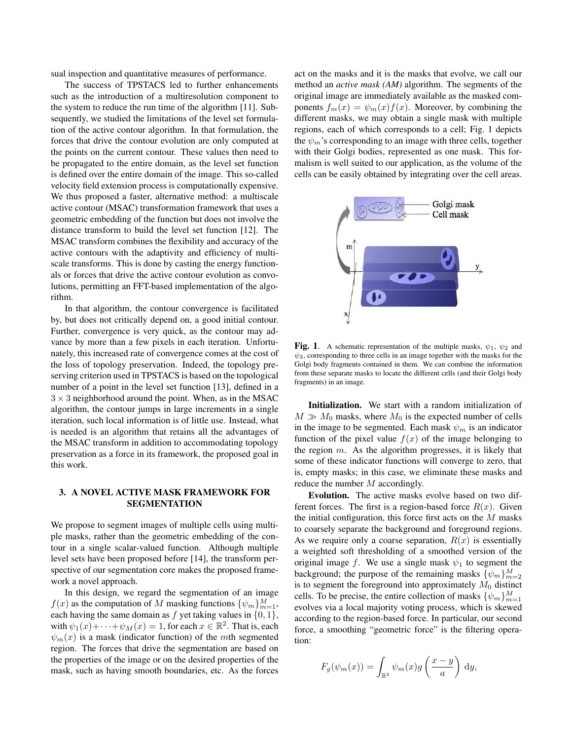sual inspection and quantitative measures of performance.

The success of TPSTACS led to further enhancements such as the introduction of a multiresolution component to the system to reduce the run time of the algorithm [11]. Subsequently, we studied the limitations of the level set formulation of the active contour algorithm. In that formulation, the forces that drive the contour evolution are only computed at the points on the current contour. These values then need to be propagated to the entire domain, as the level set function is defined over the entire domain of the image. This so-called velocity field extension process is computationally expensive. We thus proposed a faster, alternative method: a multiscale active contour (MSAC) transformation framework that uses a geometric embedding of the function but does not involve the distance transform to build the level set function [12]. The MSAC transform combines the flexibility and accuracy of the active contours with the adaptivity and efficiency of multiscale transforms. This is done by casting the energy functionals or forces that drive the active contour evolution as convolutions, permitting an FFT-based implementation of the algorithm.

In that algorithm, the contour convergence is facilitated by, but does not critically depend on, a good initial contour. Further, convergence is very quick, as the contour may advance by more than a few pixels in each iteration. Unfortunately, this increased rate of convergence comes at the cost of the loss of topology preservation. Indeed, the topology preserving criterion used in TPSTACS is based on the topological number of a point in the level set function [13], defined in a  $3 \times 3$  neighborhood around the point. When, as in the MSAC algorithm, the contour jumps in large increments in a single iteration, such local information is of little use. Instead, what is needed is an algorithm that retains all the advantages of the MSAC transform in addition to accommodating topology preservation as a force in its framework, the proposed goal in this work.

### 3. A NOVEL ACTIVE MASK FRAMEWORK FOR SEGMENTATION

We propose to segment images of multiple cells using multiple masks, rather than the geometric embedding of the contour in a single scalar-valued function. Although multiple level sets have been proposed before [14], the transform perspective of our segmentation core makes the proposed framework a novel approach.

In this design, we regard the segmentation of an image  $f(x)$  as the computation of M masking functions  $\{\psi_m\}_{m=1}^M$ , each having the same domain as f yet taking values in  $\{0, 1\}$ , with  $\psi_1(x) + \cdots + \psi_M(x) = 1$ , for each  $x \in \mathbb{R}^2$ . That is, each  $\psi_m(x)$  is a mask (indicator function) of the mth segmented region. The forces that drive the segmentation are based on the properties of the image or on the desired properties of the mask, such as having smooth boundaries, etc. As the forces

act on the masks and it is the masks that evolve, we call our method an *active mask (AM)* algorithm. The segments of the original image are immediately available as the masked components  $f_m(x) = \psi_m(x) f(x)$ . Moreover, by combining the different masks, we may obtain a single mask with multiple regions, each of which corresponds to a cell; Fig. 1 depicts the  $\psi_m$ 's corresponding to an image with three cells, together with their Golgi bodies, represented as one mask. This formalism is well suited to our application, as the volume of the cells can be easily obtained by integrating over the cell areas.



Fig. 1. A schematic representation of the multiple masks,  $\psi_1$ ,  $\psi_2$  and  $\psi_3$ , corresponding to three cells in an image together with the masks for the Golgi body fragments contained in them. We can combine the information from these separate masks to locate the different cells (and their Golgi body fragments) in an image.

Initialization. We start with a random initialization of  $M \gg M_0$  masks, where  $M_0$  is the expected number of cells in the image to be segmented. Each mask  $\psi_m$  is an indicator function of the pixel value  $f(x)$  of the image belonging to the region  $m$ . As the algorithm progresses, it is likely that some of these indicator functions will converge to zero, that is, empty masks; in this case, we eliminate these masks and reduce the number M accordingly.

Evolution. The active masks evolve based on two different forces. The first is a region-based force  $R(x)$ . Given the initial configuration, this force first acts on the  $M$  masks to coarsely separate the background and foreground regions. As we require only a coarse separation,  $R(x)$  is essentially a weighted soft thresholding of a smoothed version of the original image f. We use a single mask  $\psi_1$  to segment the background; the purpose of the remaining masks  $\{\psi_m\}_{m=2}^M$ is to segment the foreground into approximately  $M_0$  distinct cells. To be precise, the entire collection of masks  $\{\psi_m\}_{m=1}^M$ evolves via a local majority voting process, which is skewed according to the region-based force. In particular, our second force, a smoothing "geometric force" is the filtering operation:

$$
F_g(\psi_m(x)) = \int_{\mathbb{R}^2} \psi_m(x) g\left(\frac{x-y}{a}\right) dy,
$$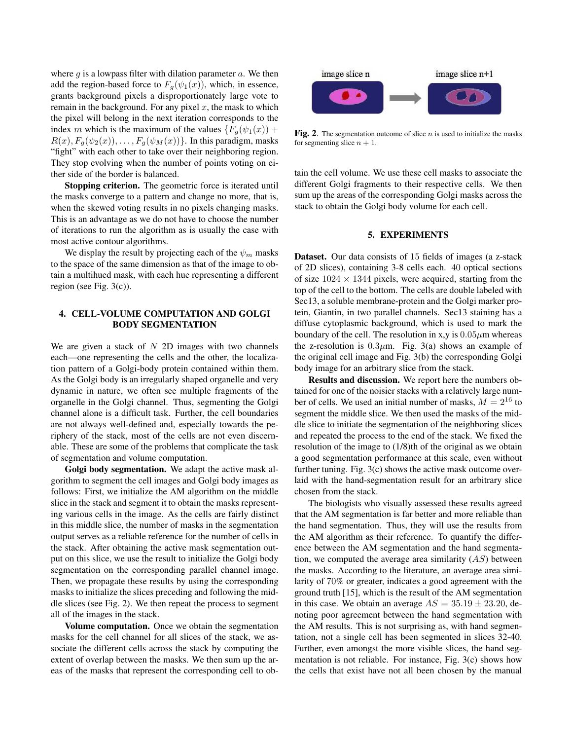where  $q$  is a lowpass filter with dilation parameter  $a$ . We then add the region-based force to  $F_q(\psi_1(x))$ , which, in essence, grants background pixels a disproportionately large vote to remain in the background. For any pixel  $x$ , the mask to which the pixel will belong in the next iteration corresponds to the index m which is the maximum of the values  ${F_q(\psi_1(x))}$  +  $R(x), F_g(\psi_2(x)), \ldots, F_g(\psi_M(x))\}$ . In this paradigm, masks "fight" with each other to take over their neighboring region. They stop evolving when the number of points voting on either side of the border is balanced.

Stopping criterion. The geometric force is iterated until the masks converge to a pattern and change no more, that is, when the skewed voting results in no pixels changing masks. This is an advantage as we do not have to choose the number of iterations to run the algorithm as is usually the case with most active contour algorithms.

We display the result by projecting each of the  $\psi_m$  masks to the space of the same dimension as that of the image to obtain a multihued mask, with each hue representing a different region (see Fig. 3(c)).

## 4. CELL-VOLUME COMPUTATION AND GOLGI BODY SEGMENTATION

We are given a stack of  $N$  2D images with two channels each—one representing the cells and the other, the localization pattern of a Golgi-body protein contained within them. As the Golgi body is an irregularly shaped organelle and very dynamic in nature, we often see multiple fragments of the organelle in the Golgi channel. Thus, segmenting the Golgi channel alone is a difficult task. Further, the cell boundaries are not always well-defined and, especially towards the periphery of the stack, most of the cells are not even discernable. These are some of the problems that complicate the task of segmentation and volume computation.

Golgi body segmentation. We adapt the active mask algorithm to segment the cell images and Golgi body images as follows: First, we initialize the AM algorithm on the middle slice in the stack and segment it to obtain the masks representing various cells in the image. As the cells are fairly distinct in this middle slice, the number of masks in the segmentation output serves as a reliable reference for the number of cells in the stack. After obtaining the active mask segmentation output on this slice, we use the result to initialize the Golgi body segmentation on the corresponding parallel channel image. Then, we propagate these results by using the corresponding masks to initialize the slices preceding and following the middle slices (see Fig. 2). We then repeat the process to segment all of the images in the stack.

Volume computation. Once we obtain the segmentation masks for the cell channel for all slices of the stack, we associate the different cells across the stack by computing the extent of overlap between the masks. We then sum up the areas of the masks that represent the corresponding cell to ob-



Fig. 2. The segmentation outcome of slice  $n$  is used to initialize the masks for segmenting slice  $n + 1$ .

tain the cell volume. We use these cell masks to associate the different Golgi fragments to their respective cells. We then sum up the areas of the corresponding Golgi masks across the stack to obtain the Golgi body volume for each cell.

#### 5. EXPERIMENTS

Dataset. Our data consists of 15 fields of images (a z-stack of 2D slices), containing 3-8 cells each. 40 optical sections of size  $1024 \times 1344$  pixels, were acquired, starting from the top of the cell to the bottom. The cells are double labeled with Sec13, a soluble membrane-protein and the Golgi marker protein, Giantin, in two parallel channels. Sec13 staining has a diffuse cytoplasmic background, which is used to mark the boundary of the cell. The resolution in x,y is  $0.05 \mu m$  whereas the z-resolution is  $0.3\mu$ m. Fig. 3(a) shows an example of the original cell image and Fig. 3(b) the corresponding Golgi body image for an arbitrary slice from the stack.

Results and discussion. We report here the numbers obtained for one of the noisier stacks with a relatively large number of cells. We used an initial number of masks,  $M = 2^{16}$  to segment the middle slice. We then used the masks of the middle slice to initiate the segmentation of the neighboring slices and repeated the process to the end of the stack. We fixed the resolution of the image to (1/8)th of the original as we obtain a good segmentation performance at this scale, even without further tuning. Fig. 3(c) shows the active mask outcome overlaid with the hand-segmentation result for an arbitrary slice chosen from the stack.

The biologists who visually assessed these results agreed that the AM segmentation is far better and more reliable than the hand segmentation. Thus, they will use the results from the AM algorithm as their reference. To quantify the difference between the AM segmentation and the hand segmentation, we computed the average area similarity  $(AS)$  between the masks. According to the literature, an average area similarity of 70% or greater, indicates a good agreement with the ground truth [15], which is the result of the AM segmentation in this case. We obtain an average  $AS = 35.19 \pm 23.20$ , denoting poor agreement between the hand segmentation with the AM results. This is not surprising as, with hand segmentation, not a single cell has been segmented in slices 32-40. Further, even amongst the more visible slices, the hand segmentation is not reliable. For instance, Fig. 3(c) shows how the cells that exist have not all been chosen by the manual